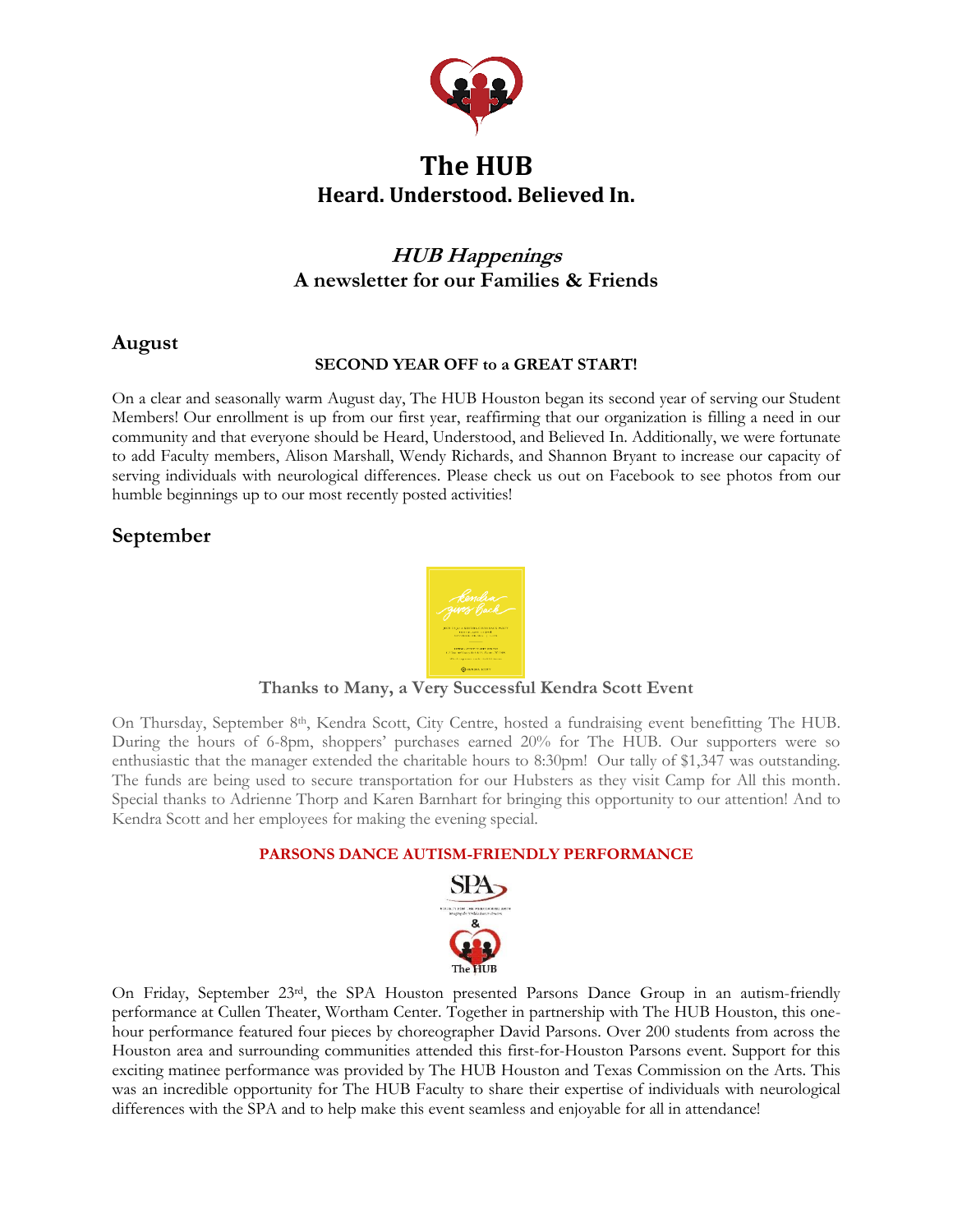

# **The HUB Heard. Understood. Believed In.**

# **HUB Happenings A newsletter for our Families & Friends**

## **August**

### **SECOND YEAR OFF to a GREAT START!**

On a clear and seasonally warm August day, The HUB Houston began its second year of serving our Student Members! Our enrollment is up from our first year, reaffirming that our organization is filling a need in our community and that everyone should be Heard, Understood, and Believed In. Additionally, we were fortunate to add Faculty members, Alison Marshall, Wendy Richards, and Shannon Bryant to increase our capacity of serving individuals with neurological differences. Please check us out on Facebook to see photos from our humble beginnings up to our most recently posted activities!

# **September**



#### **Thanks to Many, a Very Successful Kendra Scott Event**

On Thursday, September 8<sup>th</sup>, Kendra Scott, City Centre, hosted a fundraising event benefitting The HUB. During the hours of 6-8pm, shoppers' purchases earned 20% for The HUB. Our supporters were so enthusiastic that the manager extended the charitable hours to 8:30pm! Our tally of \$1,347 was outstanding. The funds are being used to secure transportation for our Hubsters as they visit Camp for All this month. Special thanks to Adrienne Thorp and Karen Barnhart for bringing this opportunity to our attention! And to Kendra Scott and her employees for making the evening special.

#### **PARSONS DANCE AUTISM-FRIENDLY PERFORMANCE**



On Friday, September 23rd, the SPA Houston presented Parsons Dance Group in an autism-friendly performance at Cullen Theater, Wortham Center. Together in partnership with The HUB Houston, this onehour performance featured four pieces by choreographer [David Parsons.](http://www.broadwayworld.com/people/David-Parsons/) Over 200 students from across the Houston area and surrounding communities attended this first-for-Houston Parsons event. Support for this exciting matinee performance was provided by The HUB Houston and Texas Commission on the Arts. This was an incredible opportunity for The HUB Faculty to share their expertise of individuals with neurological differences with the SPA and to help make this event seamless and enjoyable for all in attendance!